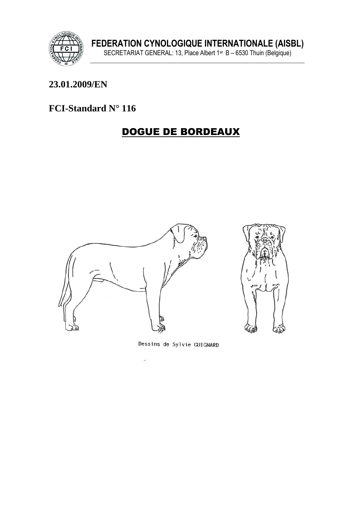

### 23.01.2009/EN

### FCI-Standard N° 116

# **DOGUE DE BORDEAUX**



Dessins de Sylvie GUIGNARD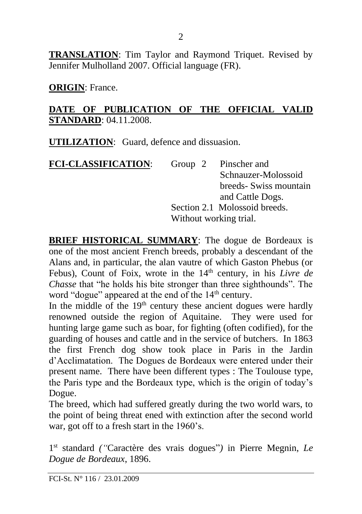**TRANSLATION**: Tim Taylor and Raymond Triquet. Revised by Jennifer Mulholland 2007. Official language (FR).

**ORIGIN**: France.

#### **DATE OF PUBLICATION OF THE OFFICIAL VALID STANDARD**: 04.11.2008.

**UTILIZATION**: Guard, defence and dissuasion.

| <b>FCI-CLASSIFICATION:</b> |                        | Group 2 Pinscher and          |
|----------------------------|------------------------|-------------------------------|
|                            |                        | Schnauzer-Molossoid           |
|                            |                        | breeds- Swiss mountain        |
|                            |                        | and Cattle Dogs.              |
|                            |                        | Section 2.1 Molossoid breeds. |
|                            | Without working trial. |                               |

**BRIEF HISTORICAL SUMMARY**: The dogue de Bordeaux is one of the most ancient French breeds, probably a descendant of the Alans and, in particular, the alan vautre of which Gaston Phebus (or Febus). Count of Foix, wrote in the 14<sup>th</sup> century, in his *Livre de Chasse* that "he holds his bite stronger than three sighthounds". The word "dogue" appeared at the end of the  $14<sup>th</sup>$  century.

In the middle of the  $19<sup>th</sup>$  century these ancient dogues were hardly renowned outside the region of Aquitaine. They were used for hunting large game such as boar, for fighting (often codified), for the guarding of houses and cattle and in the service of butchers. In 1863 the first French dog show took place in Paris in the Jardin d'Acclimatation. The Dogues de Bordeaux were entered under their present name. There have been different types : The Toulouse type, the Paris type and the Bordeaux type, which is the origin of today's Dogue.

The breed, which had suffered greatly during the two world wars, to the point of being threat ened with extinction after the second world war, got off to a fresh start in the 1960's.

1 st standard *("*Caractère des vrais dogues"*)* in Pierre Megnin, *Le Dogue de Bordeaux*, 1896.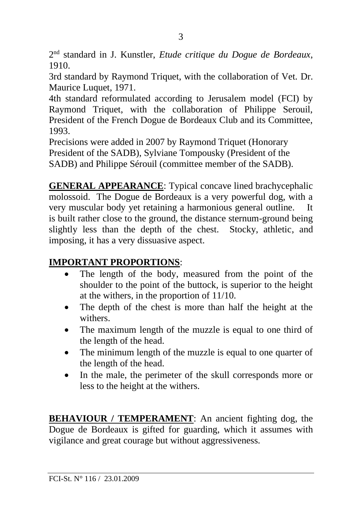2 nd standard in J. Kunstler, *Etude critique du Dogue de Bordeaux*, 1910.

3rd standard by Raymond Triquet, with the collaboration of Vet. Dr. Maurice Luquet, 1971.

4th standard reformulated according to Jerusalem model (FCI) by Raymond Triquet, with the collaboration of Philippe Serouil, President of the French Dogue de Bordeaux Club and its Committee, 1993.

Precisions were added in 2007 by Raymond Triquet (Honorary President of the SADB), Sylviane Tompousky (President of the SADB) and Philippe Sérouil (committee member of the SADB).

**GENERAL APPEARANCE**: Typical concave lined brachycephalic molossoid. The Dogue de Bordeaux is a very powerful dog, with a very muscular body yet retaining a harmonious general outline. It is built rather close to the ground, the distance sternum-ground being slightly less than the depth of the chest. Stocky, athletic, and imposing, it has a very dissuasive aspect.

# **IMPORTANT PROPORTIONS**:

- The length of the body, measured from the point of the shoulder to the point of the buttock, is superior to the height at the withers, in the proportion of 11/10.
- The depth of the chest is more than half the height at the withers.
- The maximum length of the muzzle is equal to one third of the length of the head.
- The minimum length of the muzzle is equal to one quarter of the length of the head.
- In the male, the perimeter of the skull corresponds more or less to the height at the withers.

**BEHAVIOUR / TEMPERAMENT:** An ancient fighting dog, the Dogue de Bordeaux is gifted for guarding, which it assumes with vigilance and great courage but without aggressiveness.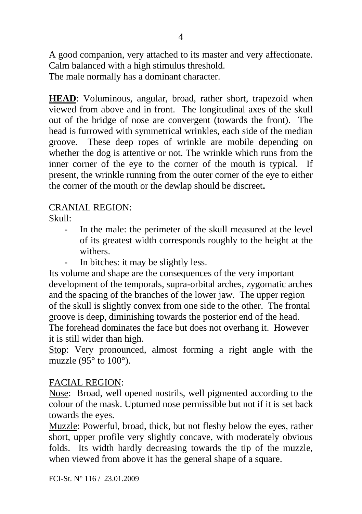A good companion, very attached to its master and very affectionate. Calm balanced with a high stimulus threshold. The male normally has a dominant character.

**HEAD**: Voluminous, angular, broad, rather short, trapezoid when viewed from above and in front. The longitudinal axes of the skull out of the bridge of nose are convergent (towards the front). The head is furrowed with symmetrical wrinkles, each side of the median groove. These deep ropes of wrinkle are mobile depending on whether the dog is attentive or not. The wrinkle which runs from the inner corner of the eye to the corner of the mouth is typical. If present, the wrinkle running from the outer corner of the eye to either the corner of the mouth or the dewlap should be discreet**.**

## CRANIAL REGION:

Skull:

- In the male: the perimeter of the skull measured at the level of its greatest width corresponds roughly to the height at the withers.
- In bitches: it may be slightly less.

Its volume and shape are the consequences of the very important development of the temporals, supra-orbital arches, zygomatic arches and the spacing of the branches of the lower jaw. The upper region of the skull is slightly convex from one side to the other. The frontal groove is deep, diminishing towards the posterior end of the head. The forehead dominates the face but does not overhang it. However it is still wider than high.

Stop: Very pronounced, almost forming a right angle with the muzzle (95 $\degree$  to 100 $\degree$ ).

#### FACIAL REGION:

Nose: Broad, well opened nostrils, well pigmented according to the colour of the mask. Upturned nose permissible but not if it is set back towards the eyes.

Muzzle: Powerful, broad, thick, but not fleshy below the eyes, rather short, upper profile very slightly concave, with moderately obvious folds. Its width hardly decreasing towards the tip of the muzzle, when viewed from above it has the general shape of a square.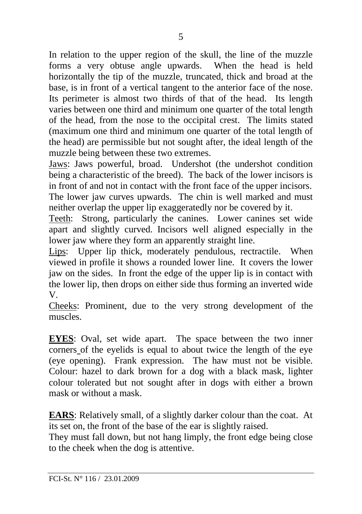In relation to the upper region of the skull, the line of the muzzle forms a very obtuse angle upwards. When the head is held horizontally the tip of the muzzle, truncated, thick and broad at the base, is in front of a vertical tangent to the anterior face of the nose. Its perimeter is almost two thirds of that of the head. Its length varies between one third and minimum one quarter of the total length of the head, from the nose to the occipital crest. The limits stated (maximum one third and minimum one quarter of the total length of the head) are permissible but not sought after, the ideal length of the muzzle being between these two extremes.

Jaws: Jaws powerful, broad. Undershot (the undershot condition being a characteristic of the breed). The back of the lower incisors is in front of and not in contact with the front face of the upper incisors. The lower jaw curves upwards. The chin is well marked and must neither overlap the upper lip exaggeratedly nor be covered by it.

Teeth: Strong, particularly the canines. Lower canines set wide apart and slightly curved. Incisors well aligned especially in the lower jaw where they form an apparently straight line.

Lips: Upper lip thick, moderately pendulous, rectractile. When viewed in profile it shows a rounded lower line. It covers the lower jaw on the sides. In front the edge of the upper lip is in contact with the lower lip, then drops on either side thus forming an inverted wide V.

Cheeks: Prominent, due to the very strong development of the muscles.

**EYES**: Oval, set wide apart. The space between the two inner corners of the eyelids is equal to about twice the length of the eye (eye opening). Frank expression. The haw must not be visible. Colour: hazel to dark brown for a dog with a black mask, lighter colour tolerated but not sought after in dogs with either a brown mask or without a mask.

**EARS**: Relatively small, of a slightly darker colour than the coat. At its set on, the front of the base of the ear is slightly raised.

They must fall down, but not hang limply, the front edge being close to the cheek when the dog is attentive.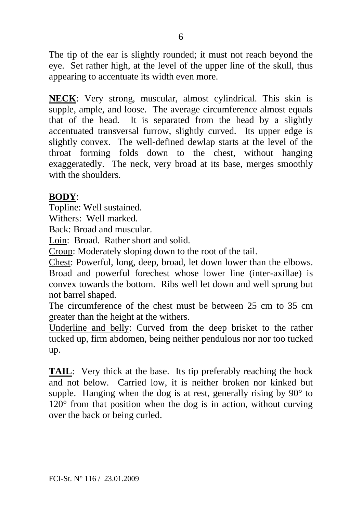The tip of the ear is slightly rounded; it must not reach beyond the eye. Set rather high, at the level of the upper line of the skull, thus appearing to accentuate its width even more.

**NECK**: Very strong, muscular, almost cylindrical. This skin is supple, ample, and loose. The average circumference almost equals that of the head. It is separated from the head by a slightly accentuated transversal furrow, slightly curved. Its upper edge is slightly convex. The well-defined dewlap starts at the level of the throat forming folds down to the chest, without hanging exaggeratedly. The neck, very broad at its base, merges smoothly with the shoulders.

#### **BODY**:

Topline: Well sustained.

Withers: Well marked.

Back: Broad and muscular.

Loin: Broad. Rather short and solid.

Croup: Moderately sloping down to the root of the tail.

Chest: Powerful, long, deep, broad, let down lower than the elbows. Broad and powerful forechest whose lower line (inter-axillae) is convex towards the bottom. Ribs well let down and well sprung but not barrel shaped.

The circumference of the chest must be between 25 cm to 35 cm greater than the height at the withers.

Underline and belly: Curved from the deep brisket to the rather tucked up, firm abdomen, being neither pendulous nor nor too tucked up.

**TAIL:** Very thick at the base. Its tip preferably reaching the hock and not below. Carried low, it is neither broken nor kinked but supple. Hanging when the dog is at rest, generally rising by  $90^{\circ}$  to 120° from that position when the dog is in action, without curving over the back or being curled.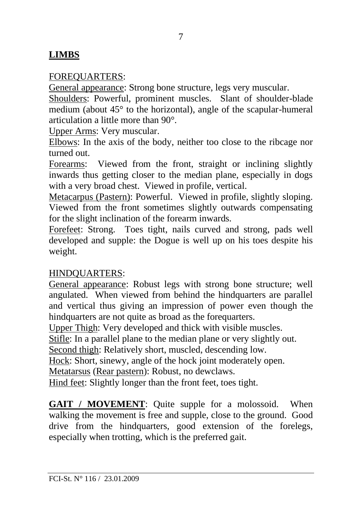## **LIMBS**

#### FOREQUARTERS:

General appearance: Strong bone structure, legs very muscular.

Shoulders: Powerful, prominent muscles. Slant of shoulder-blade medium (about 45° to the horizontal), angle of the scapular-humeral articulation a little more than 90°.

Upper Arms: Very muscular.

Elbows: In the axis of the body, neither too close to the ribcage nor turned out.

Forearms: Viewed from the front, straight or inclining slightly inwards thus getting closer to the median plane, especially in dogs with a very broad chest. Viewed in profile, vertical.

Metacarpus (Pastern): Powerful. Viewed in profile, slightly sloping. Viewed from the front sometimes slightly outwards compensating for the slight inclination of the forearm inwards.

Forefeet: Strong. Toes tight, nails curved and strong, pads well developed and supple: the Dogue is well up on his toes despite his weight.

### HINDQUARTERS:

General appearance: Robust legs with strong bone structure; well angulated. When viewed from behind the hindquarters are parallel and vertical thus giving an impression of power even though the hindquarters are not quite as broad as the forequarters.

Upper Thigh: Very developed and thick with visible muscles.

Stifle: In a parallel plane to the median plane or very slightly out.

Second thigh: Relatively short, muscled, descending low.

Hock: Short, sinewy, angle of the hock joint moderately open.

Metatarsus (Rear pastern): Robust, no dewclaws.

Hind feet: Slightly longer than the front feet, toes tight.

**GAIT / MOVEMENT:** Ouite supple for a molossoid. When walking the movement is free and supple, close to the ground. Good drive from the hindquarters, good extension of the forelegs, especially when trotting, which is the preferred gait.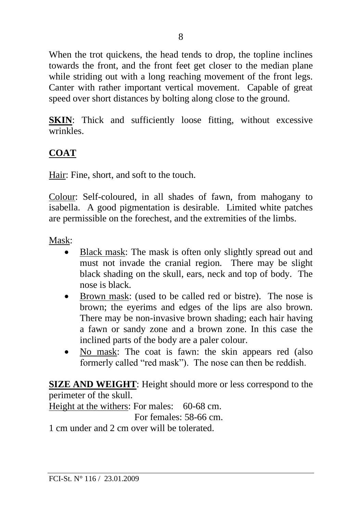When the trot quickens, the head tends to drop, the topline inclines towards the front, and the front feet get closer to the median plane while striding out with a long reaching movement of the front legs. Canter with rather important vertical movement. Capable of great speed over short distances by bolting along close to the ground.

**SKIN:** Thick and sufficiently loose fitting, without excessive wrinkles.

## **COAT**

Hair: Fine, short, and soft to the touch.

Colour: Self-coloured, in all shades of fawn, from mahogany to isabella. A good pigmentation is desirable. Limited white patches are permissible on the forechest, and the extremities of the limbs.

Mask:

- Black mask: The mask is often only slightly spread out and must not invade the cranial region. There may be slight black shading on the skull, ears, neck and top of body. The nose is black.
- Brown mask: (used to be called red or bistre). The nose is brown; the eyerims and edges of the lips are also brown. There may be non-invasive brown shading; each hair having a fawn or sandy zone and a brown zone. In this case the inclined parts of the body are a paler colour.
- No mask: The coat is fawn: the skin appears red (also formerly called "red mask"). The nose can then be reddish.

**SIZE AND WEIGHT**: Height should more or less correspond to the perimeter of the skull. Height at the withers: For males: 60-68 cm. For females: 58-66 cm. 1 cm under and 2 cm over will be tolerated.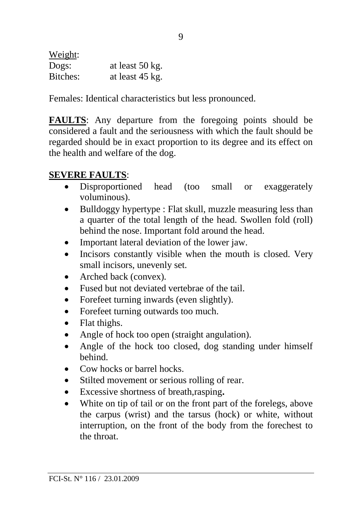Weight: Dogs: at least 50 kg. Bitches: at least 45 kg.

Females: Identical characteristics but less pronounced.

**FAULTS**: Any departure from the foregoing points should be considered a fault and the seriousness with which the fault should be regarded should be in exact proportion to its degree and its effect on the health and welfare of the dog.

## **SEVERE FAULTS**:

- Disproportioned head (too small or exaggerately voluminous).
- Bulldoggy hypertype : Flat skull, muzzle measuring less than a quarter of the total length of the head. Swollen fold (roll) behind the nose. Important fold around the head.
- Important lateral deviation of the lower jaw.
- Incisors constantly visible when the mouth is closed. Very small incisors, unevenly set.
- Arched back (convex)*.*
- Fused but not deviated vertebrae of the tail.
- Forefeet turning inwards (even slightly).
- Forefeet turning outwards too much.
- Flat thighs.
- Angle of hock too open (straight angulation).
- Angle of the hock too closed, dog standing under himself behind.
- Cow hocks or barrel hocks.
- Stilted movement or serious rolling of rear.
- Excessive shortness of breath,rasping**.**
- White on tip of tail or on the front part of the forelegs, above the carpus (wrist) and the tarsus (hock) or white, without interruption, on the front of the body from the forechest to the throat.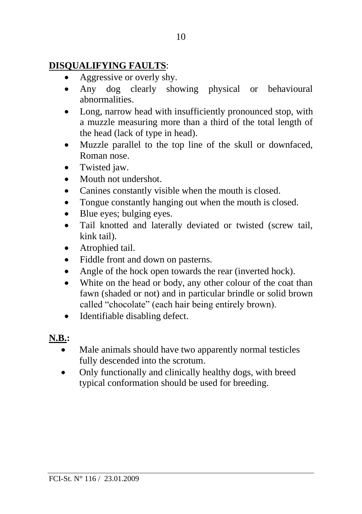## **DISQUALIFYING FAULTS**:

- Aggressive or overly shy.
- Any dog clearly showing physical or behavioural abnormalities.
- Long, narrow head with insufficiently pronounced stop, with a muzzle measuring more than a third of the total length of the head (lack of type in head).
- Muzzle parallel to the top line of the skull or downfaced, Roman nose.
- Twisted jaw.
- Mouth not undershot.
- Canines constantly visible when the mouth is closed.
- Tongue constantly hanging out when the mouth is closed.
- Blue eyes; bulging eyes.
- Tail knotted and laterally deviated or twisted (screw tail, kink tail).
- Atrophied tail.
- Fiddle front and down on pasterns.
- Angle of the hock open towards the rear (inverted hock).
- White on the head or body, any other colour of the coat than fawn (shaded or not) and in particular brindle or solid brown called "chocolate" (each hair being entirely brown).
- Identifiable disabling defect.

## **N.B.:**

- Male animals should have two apparently normal testicles fully descended into the scrotum.
- Only functionally and clinically healthy dogs, with breed typical conformation should be used for breeding.